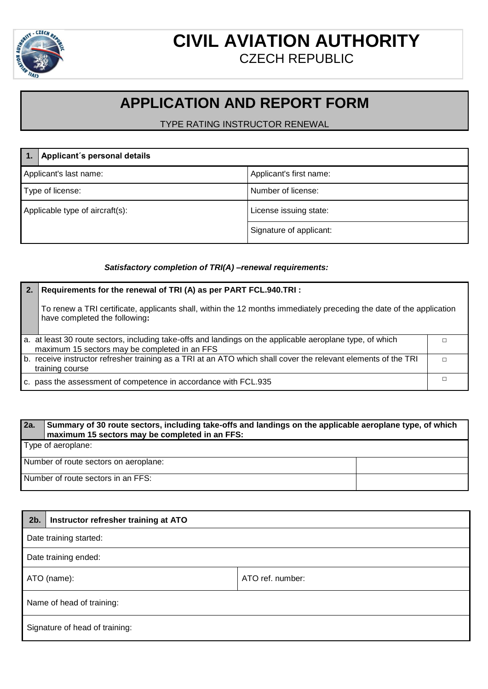

## **CIVIL AVIATION AUTHORITY** CZECH REPUBLIC

## **APPLICATION AND REPORT FORM**

TYPE RATING INSTRUCTOR RENEWAL

|                                 | Applicant's personal details |                         |
|---------------------------------|------------------------------|-------------------------|
| Applicant's last name:          |                              | Applicant's first name: |
| Type of license:                |                              | Number of license:      |
| Applicable type of aircraft(s): |                              | License issuing state:  |
|                                 |                              | Signature of applicant: |

## *Satisfactory completion of TRI(A) –renewal requirements:*

| Requirements for the renewal of TRI (A) as per PART FCL.940.TRI :                                                                                          |  |
|------------------------------------------------------------------------------------------------------------------------------------------------------------|--|
| To renew a TRI certificate, applicants shall, within the 12 months immediately preceding the date of the application<br>have completed the following:      |  |
| a. at least 30 route sectors, including take-offs and landings on the applicable aeroplane type, of which<br>maximum 15 sectors may be completed in an FFS |  |
| b. receive instructor refresher training as a TRI at an ATO which shall cover the relevant elements of the TRI<br>training course                          |  |
| c. pass the assessment of competence in accordance with FCL.935                                                                                            |  |

| l 2a.                              | Summary of 30 route sectors, including take-offs and landings on the applicable aeroplane type, of which<br>maximum 15 sectors may be completed in an FFS: |  |
|------------------------------------|------------------------------------------------------------------------------------------------------------------------------------------------------------|--|
|                                    | Type of aeroplane:                                                                                                                                         |  |
|                                    | Number of route sectors on aeroplane:                                                                                                                      |  |
| Number of route sectors in an FFS: |                                                                                                                                                            |  |

| $2b$ .                         | Instructor refresher training at ATO |                  |
|--------------------------------|--------------------------------------|------------------|
| Date training started:         |                                      |                  |
| Date training ended:           |                                      |                  |
| ATO (name):                    |                                      | ATO ref. number: |
| Name of head of training:      |                                      |                  |
| Signature of head of training: |                                      |                  |